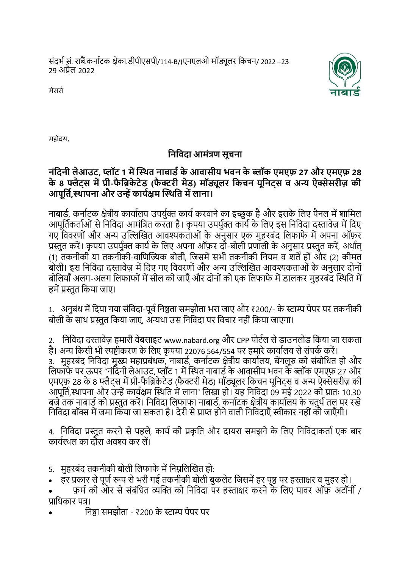संदर्भ सं. राबैं.कर्ाभटक क्षेका.डीपीएसपी/114-B/(एर्एलओ मॉड्यूलर ककचर्/ 2022 –23 29 अप्रैल 2022



मेसस

महोदय,

## **निनिदा आमंत्रण सूचिा**

## **िंनदिी लेआउट, प्लॉट 1 में स्थित िाबार्ड के आिासीय भिि के ब्लॉक एमएफ़ 27 और एमएफ़ 28**  के 8 फ्लैट्स में प्री-फैब्रिकेटेड (फैक्टरी मेड) मॉड्यूलर किचन यूनिट्स व अन्य ऐक्सेसरीज़ की आपूर्ति,स्थापना और उन्हें कार्यक्षम स्थिति में लाना।

नाबार्ड, कर्नाटक क्षेत्रीय कार्यालय उपर्युक्त कार्य करवाने का इच्छुक है और इसके लिए पैनल में शामिल आपूर्तिकर्ताओं से निविदा आमंत्रित करता है। कृपया उपर्युक्त कार्य के लिए इस निविदा दस्तावेज़ में दिए गए विवरणों और अन्य उल्लिखित आवश्यकताओं के अनुसार एक महरबंद लिफाफे में अपना ऑफ़र प्रस्तत करें। कृपया उपर्यक्त कार्य के लिए अपना ऑफ़र दो-बोली प्रणाली के अनसार प्रस्तत करें, अर्थात (1) तकनीकी या तकनीकी-वाणिज्यिक बोली, जिसमें सभी तकनीकी नियम व शर्तें हों और (2) कीमत बोली। इस निविदा दस्तावेज़ में दिए गए विवरणों और अन्य उल्लिखित आवश्यकताओं के अनुसार दोनों बोलियाँ अलग-अलग लिफाफों में सील की जाएँ और दोनों को एक लिफाफे में डालकर महरबंद स्थिति में हमें प्रस्तुत किया जाए।

1. अनुबंध में दिया गया संविदा-पूर्व निष्ठता समझौता भरा जाए और ₹200/- के स्टाम्प पेपर पर तकनीकी बोली के साथ प्रस्तुत किया जाए, अन्यथा उस निविदा पर विचार नहीं किया जाएगा।

2. निविदा दस्तावेज़ हमारी वेबसाइट [www.nabard.org](http://www.nabard.org/) और CPP पोर्टल से डाउनलोड किया जा सकता है। अन्य किसी भी स्पष्टीकरण के लिए कृपया 22076 564/554 पर हमारे कार्यालय से संपर्क करें। 3. मुहरबंद निविदा मुख्य महाप्रबंधक, नाबार्ड, कर्नाटक क्षेत्रीय कार्यालय, बेंगलूरु को संबोधित हो और लिफाफे पर ऊपर "नंदिनी लेआउट, प्लॉट 1 में स्थित नाबार्ड के आवासीय भवन के ब्लॉक एमएफ़ 27 और एमएफ़ 28 के 8 फ्लैटस में प्री-फैब्रिकेटेड (फैक्टरी मेड) मॉड्यूलर किचन युनिटस व अन्य ऐक्सेसरीज़ की आपूर्ति,स्थापना और उन्हें कार्यक्षम स्थिति में लाना" लिखा हो। यह निविदा 09 मई 2022 को प्रातः 10.30 बजे तक नाबार्ड को प्रस्तुत करें। निविदा लिफाफा नाबार्ड, कर्नाटक क्षेत्रीय कार्यालय के चतुर्थ तल पर रखे निविदा बॉक्स में जमा किया जा सकता है। देरी से प्राप्त होने वाली निविदाएँ स्वीकार नहीं की जाएँगी।

4. निविदा प्रस्तुत करने से पहले, कार्य की प्रकृति और दायरा समझने के लिए निविदाकर्ता एक बार कायभथर्ल का दौरा अवश्य कर लें।

- 5. महरबंद तकनीकी बोली लिफाफे में निम्नलिखित हो:
- ँ हर प्रकार से पूर्ण रूप से भरी गई तकनीकी बोली बुकलेट जिसमें हर पृष्ठ पर हस्ताक्षर व मूहर हो।
- फ़मभ की ओर से संबंकधत व्यल्लक्त क कर्कवदा पर हस्ताक्षर करर्े के कलए पावर ऑफ़ अटॉर्ी / प्राकधकार पत्र।
- कर्ष्ठा समझौता ₹200 के स्टाम्प पेपर पर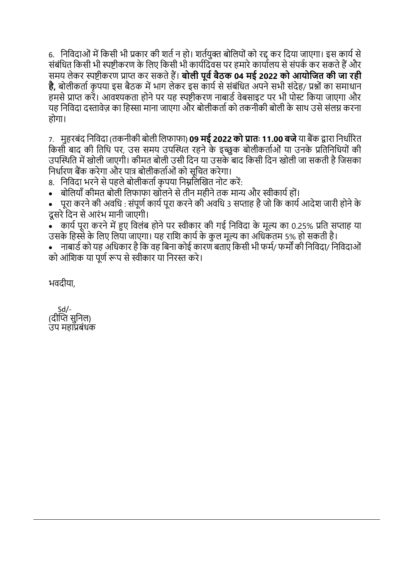6. निविदाओं में किसी भी प्रकार की शर्त न हो। शर्तयक्त बोलियों को रद्द कर दिया जाएगा। इस कार्य से संबंधित किसी भी स्पष्टीकरण के लिए किसी भी कार्यदिवस पर हमारे कार्यालय से संपर्क कर सकते हैं और समय लेकर स्पष्टीकरण प्राप्त कर सकते हैं। **बोली पूर्व बैठक 04 मई 2022 को आयोजित की जा रही है.** बोलीकर्ता कपया इस बैठक में भाग लेकर इस कार्य से संबंधित अपने सभी संदेह/ प्रश्नों का समाधान हमसे प्राप्त करें। आवश्यकता होने पर यह स्पष्टीकरण नाबार्ड वेबसाइट पर भी पोस्ट किया जाएगा और यह निविदा दस्तावेज का हिस्सा माना जाएगा और बोलीकर्ता को तकनीकी बोली के साथ उसे संलग्न करना होगा।

7. महरबंद निविदा (तकनीकी बोली लिफाफा) **09 मई 2022 को प्रातः 11.00 बजे** या बैंक द्वारा निर्धारित किसी बाद की तिथि पर, उस समय उपस्थित रहने के इच्छुक बोलीकर्ताओं या उनके प्रतिनिधियों की उपस्थिति में खोली जाएगी। कीमत बोली उसी दिन या उसके बाद किसी दिन खोली जा सकती है जिसका निर्धारण बैंक करेगा और पात्र बोलीकर्ताओं को सूचित करेगा।

8. निविदा भरने से पहले बोलीकर्ता कृपया निम्नलिखित नोट करें:

बोलियाँ कीमत बोली लिफाफा खोलने से तीन महीने तक मान्य और स्वीकार्य हों।

<u>। परा करने की अवधि : संपूर्ण कार्य परा करने की अवधि 3 सप्ताह है जो कि कार्य आदेश जारी होने के </u> दूसरे दिन से आरंभ मानी जाएगी।

• कार्य पूरा करने में हुए विलंब होने पर स्वीकार की गई निविदा के मूल्य का 0.25% प्रति सप्ताह या उसके हिस्से के लिए लिया जाएगा। यह राशि कार्य के कुल मूल्य का अधिकतम 5% हो सकती है।

• माबार्ड को यह अधिकार है कि वह बिना कोई कारण बताएं किसी भी फर्म/ फर्मों की निविदा/ निविदाओं को आंशिक या पूर्ण रूप से स्वीकार या निरस्त करे।

र्वदीया,

 Sd/- (दीप्ति सनिल) उप महाप्रबंधक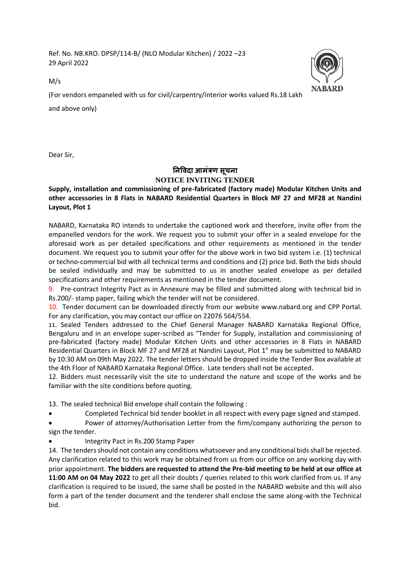Ref. No. NB.KRO. DPSP/114-B/ (NLO Modular Kitchen) / 2022 –23 29 April 2022



M/s

(For vendors empaneled with us for civil/carpentry/interior works valued Rs.18 Lakh

and above only)

Dear Sir,

## **निविदा आमंत्रण सूचिा NOTICE INVITING TENDER**

**Supply, installation and commissioning of pre-fabricated (factory made) Modular Kitchen Units and other accessories in 8 Flats in NABARD Residential Quarters in Block MF 27 and MF28 at Nandini Layout, Plot 1**

NABARD, Karnataka RO intends to undertake the captioned work and therefore, invite offer from the empanelled vendors for the work. We request you to submit your offer in a sealed envelope for the aforesaid work as per detailed specifications and other requirements as mentioned in the tender document. We request you to submit your offer for the above work in two bid system i.e. (1) technical or techno-commercial bid with all technical terms and conditions and (2) price bid. Both the bids should be sealed individually and may be submitted to us in another sealed envelope as per detailed specifications and other requirements as mentioned in the tender document.

9. Pre-contract Integrity Pact as in Annexure may be filled and submitted along with technical bid in Rs.200/- stamp paper, failing which the tender will not be considered.

10. Tender document can be downloaded directly from our website [www.nabard.org](http://www.nabard.org/) and CPP Portal. For any clarification, you may contact our office on 22076 564/554.

11. Sealed Tenders addressed to the Chief General Manager NABARD Karnataka Regional Office, Bengaluru and in an envelope super-scribed as "Tender for Supply, installation and commissioning of pre-fabricated (factory made) Modular Kitchen Units and other accessories in 8 Flats in NABARD Residential Quarters in Block MF 27 and MF28 at Nandini Layout, Plot 1" may be submitted to NABARD by 10:30 AM on 09th May 2022. The tender letters should be dropped inside the Tender Box available at the 4th Floor of NABARD Karnataka Regional Office. Late tenders shall not be accepted.

12. Bidders must necessarily visit the site to understand the nature and scope of the works and be familiar with the site conditions before quoting.

13. The sealed technical Bid envelope shall contain the following :

• Completed Technical bid tender booklet in all respect with every page signed and stamped.

• Power of attorney/Authorisation Letter from the firm/company authorizing the person to sign the tender.

• Integrity Pact in Rs.200 Stamp Paper

14. The tenders should not contain any conditions whatsoever and any conditional bids shall be rejected. Any clarification related to this work may be obtained from us from our office on any working day with prior appointment. **The bidders are requested to attend the Pre-bid meeting to be held at our office at 11:00 AM on 04 May 2022** to get all their doubts / queries related to this work clarified from us. If any clarification is required to be issued, the same shall be posted in the NABARD website and this will also form a part of the tender document and the tenderer shall enclose the same along-with the Technical bid.